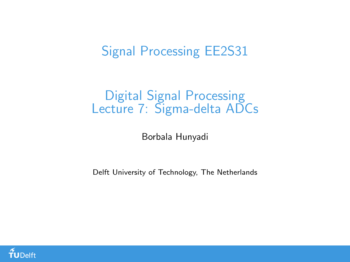### Signal Processing EE2S31

### Digital Signal Processing Lecture 7: Sigma-delta ADCs

Borbala Hunyadi

Delft University of Technology, The Netherlands

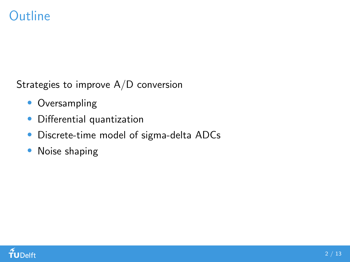### **Outline**

Strategies to improve A/D conversion

- Oversampling
- Differential quantization
- Discrete-time model of sigma-delta ADCs
- Noise shaping

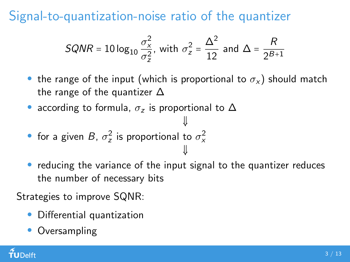Signal-to-quantization-noise ratio of the quantizer

$$
SQNR = 10 \log_{10} \frac{\sigma_x^2}{\sigma_z^2}
$$
, with  $\sigma_z^2 = \frac{\Delta^2}{12}$  and  $\Delta = \frac{R}{2^{B+1}}$ 

the range of the input (which is proportional to  $\sigma_{x}$ ) should match the range of the quantizer  $\Delta$ 

⇓

⇓

• according to formula,  $\sigma_z$  is proportional to  $\Delta$ 

• for a given B, 
$$
\sigma_z^2
$$
 is proportional to  $\sigma_x^2$ 

• reducing the variance of the input signal to the quantizer reduces the number of necessary bits

Strategies to improve SQNR:

- Differential quantization
- **Oversampling**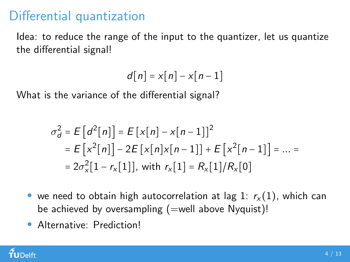### Differential quantization

Idea: to reduce the range of the input to the quantizer, let us quantize the differential signal!

$$
d[n] = x[n] - x[n-1]
$$

What is the variance of the differential signal?

$$
\sigma_d^2 = E\left[d^2[n]\right] = E\left[x[n] - x[n-1]\right]^2
$$
  
=  $E\left[x^2[n]\right] - 2E\left[x[n]x[n-1]\right] + E\left[x^2[n-1]\right] = ... =$   
=  $2\sigma_x^2[1 - r_x[1]]$ , with  $r_x[1] = R_x[1]/R_x[0]$ 

- we need to obtain high autocorrelation at lag 1:  $r_x(1)$ , which can be achieved by oversampling  $(=$ well above Nyquist)!
- Alternative: Prediction!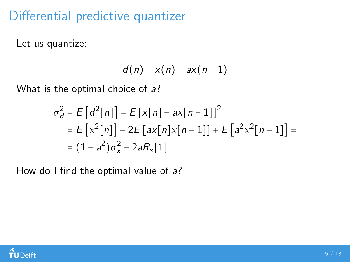### Differential predictive quantizer

Let us quantize:

$$
d(n) = x(n) - ax(n-1)
$$

What is the optimal choice of a?

$$
\sigma_d^2 = E[d^2[n]] = E[x[n] - ax[n-1]]^2
$$
  
=  $E[x^2[n]] - 2E[ax[n]x[n-1]] + E[a^2x^2[n-1]] =$   
=  $(1 + a^2)\sigma_x^2 - 2aR_x[1]$ 

How do I find the optimal value of a?

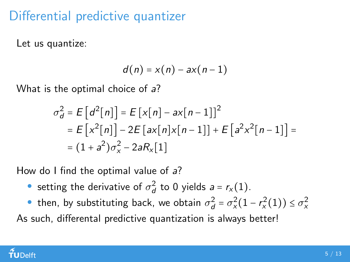### Differential predictive quantizer

Let us quantize:

$$
d(n) = x(n) - ax(n-1)
$$

What is the optimal choice of a?

$$
\sigma_d^2 = E[d^2[n]] = E[x[n] - ax[n-1]]^2
$$
  
=  $E[x^2[n]] - 2E[ax[n]x[n-1]] + E[a^2x^2[n-1]] =$   
=  $(1 + a^2)\sigma_x^2 - 2aR_x[1]$ 

How do I find the optimal value of a?

• setting the derivative of  $\sigma_d^2$  to 0 yields  $a = r_x(1)$ .

• then, by substituting back, we obtain  $\sigma_d^2 = \sigma_x^2(1 - r_x^2(1)) \leq \sigma_x^2$ As such, differental predictive quantization is always better!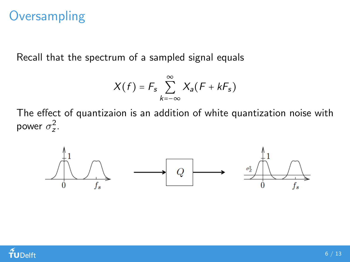### **Oversampling**

Recall that the spectrum of a sampled signal equals

$$
X(f) = F_s \sum_{k=-\infty}^{\infty} X_a(F + kF_s)
$$

The effect of quantizaion is an addition of white quantization noise with power  $\sigma_z^2$ .



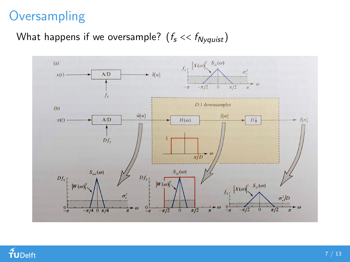# **Oversampling**

### What happens if we oversample?  $(f_s \ll f_{Nyquist})$



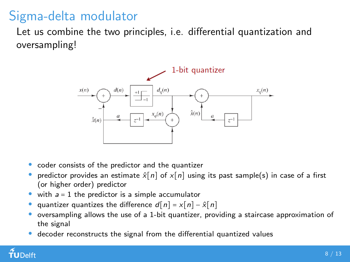# Sigma-delta modulator

Let us combine the two principles, i.e. differential quantization and oversampling!



- coder consists of the predictor and the quantizer
- predictor provides an estimate  $\hat{\chi}[n]$  of  $\chi[n]$  using its past sample(s) in case of a first (or higher order) predictor
- with  $a = 1$  the predictor is a simple accumulator
- quantizer quantizes the difference  $d[n] = x[n] \hat{x}[n]$
- oversampling allows the use of a 1-bit quantizer, providing a staircase approximation of the signal
- decoder reconstructs the signal from the differential quantized values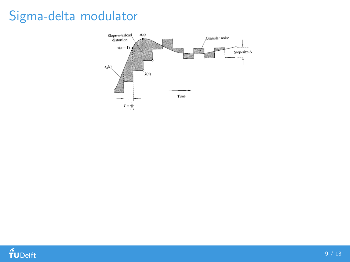# Sigma-delta modulator



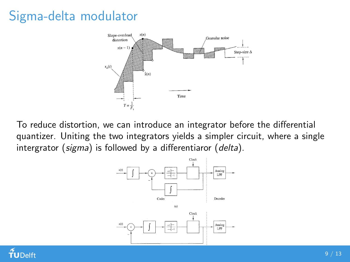# Sigma-delta modulator



To reduce distortion, we can introduce an integrator before the differential quantizer. Uniting the two integrators yields a simpler circuit, where a single intergrator (sigma) is followed by a differentiaror (delta).



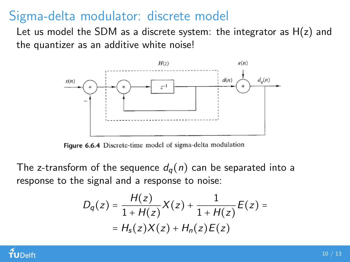Sigma-delta modulator: discrete model

Let us model the SDM as a discrete system: the integrator as  $H(z)$  and the quantizer as an additive white noise!



Figure 6.6.4 Discrete-time model of sigma-delta modulation

The z-transform of the sequence  $d_q(n)$  can be separated into a response to the signal and a response to noise:

$$
D_q(z) = \frac{H(z)}{1 + H(z)} X(z) + \frac{1}{1 + H(z)} E(z) =
$$
  
=  $H_s(z)X(z) + H_n(z)E(z)$ 

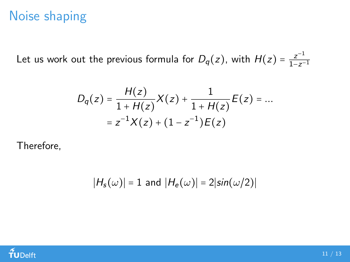### Noise shaping

Let us work out the previous formula for  $D_q(z)$ , with  $H(z) = \frac{z^{-1}}{1-z^{-1}}$  $1-z^{-1}$ 

$$
D_q(z) = \frac{H(z)}{1 + H(z)} X(z) + \frac{1}{1 + H(z)} E(z) = \dots
$$
  
=  $z^{-1} X(z) + (1 - z^{-1}) E(z)$ 

Therefore,

$$
|H_s(\omega)| = 1
$$
 and  $|H_e(\omega)| = 2|\sin(\omega/2)|$ 

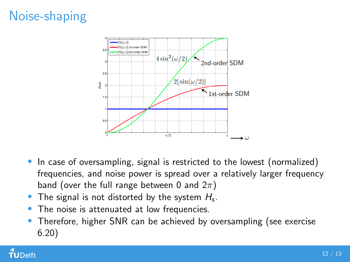# Noise-shaping



- In case of oversampling, signal is restricted to the lowest (normalized) frequencies, and noise power is spread over a relatively larger frequency band (over the full range between 0 and  $2\pi$ )
- The signal is not distorted by the system  $H_s$ .
- The noise is attenuated at low frequencies.
- Therefore, higher SNR can be achieved by oversampling (see exercise 6.20)